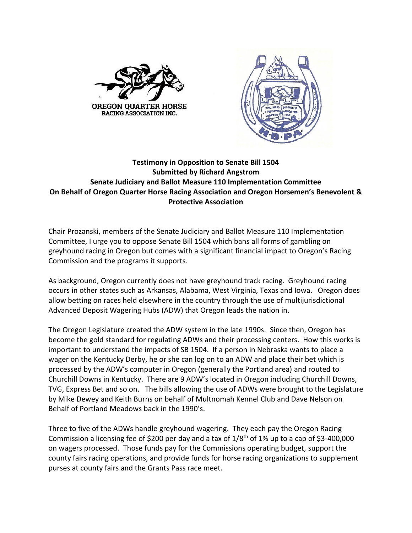



## **Testimony in Opposition to Senate Bill 1504 Submitted by Richard Angstrom Senate Judiciary and Ballot Measure 110 Implementation Committee On Behalf of Oregon Quarter Horse Racing Association and Oregon Horsemen's Benevolent & Protective Association**

Chair Prozanski, members of the Senate Judiciary and Ballot Measure 110 Implementation Committee, I urge you to oppose Senate Bill 1504 which bans all forms of gambling on greyhound racing in Oregon but comes with a significant financial impact to Oregon's Racing Commission and the programs it supports.

As background, Oregon currently does not have greyhound track racing. Greyhound racing occurs in other states such as Arkansas, Alabama, West Virginia, Texas and Iowa. Oregon does allow betting on races held elsewhere in the country through the use of multijurisdictional Advanced Deposit Wagering Hubs (ADW) that Oregon leads the nation in.

The Oregon Legislature created the ADW system in the late 1990s. Since then, Oregon has become the gold standard for regulating ADWs and their processing centers. How this works is important to understand the impacts of SB 1504. If a person in Nebraska wants to place a wager on the Kentucky Derby, he or she can log on to an ADW and place their bet which is processed by the ADW's computer in Oregon (generally the Portland area) and routed to Churchill Downs in Kentucky. There are 9 ADW's located in Oregon including Churchill Downs, TVG, Express Bet and so on. The bills allowing the use of ADWs were brought to the Legislature by Mike Dewey and Keith Burns on behalf of Multnomah Kennel Club and Dave Nelson on Behalf of Portland Meadows back in the 1990's.

Three to five of the ADWs handle greyhound wagering. They each pay the Oregon Racing Commission a licensing fee of \$200 per day and a tax of 1/8th of 1% up to a cap of \$3-400,000 on wagers processed. Those funds pay for the Commissions operating budget, support the county fairs racing operations, and provide funds for horse racing organizations to supplement purses at county fairs and the Grants Pass race meet.